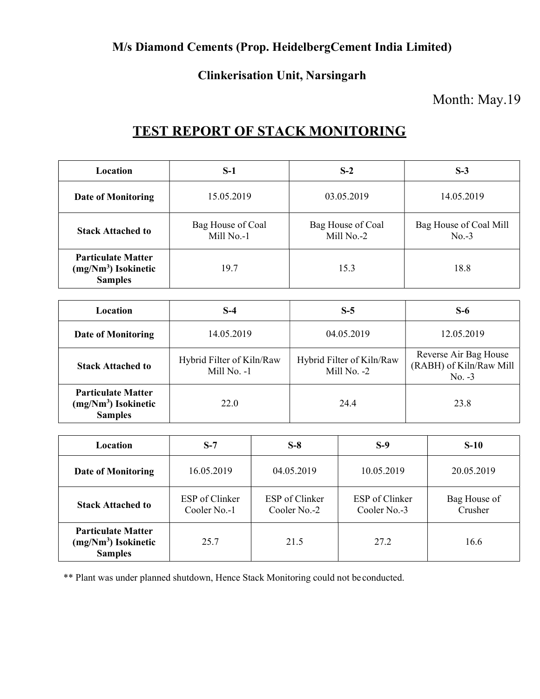### M/s Diamond Cements (Prop. HeidelbergCement India Limited)

### Clinkerisation Unit, Narsingarh

### Month: May.19

# TEST REPORT OF STACK MONITORING

| <b>Location</b>                                                      | $S-1$                           | $S-2$                           | $S-3$                             |
|----------------------------------------------------------------------|---------------------------------|---------------------------------|-----------------------------------|
| <b>Date of Monitoring</b>                                            | 15.05.2019                      | 03.05.2019                      | 14.05.2019                        |
| <b>Stack Attached to</b>                                             | Bag House of Coal<br>Mill No.-1 | Bag House of Coal<br>Mill No.-2 | Bag House of Coal Mill<br>$No.-3$ |
| <b>Particulate Matter</b><br>$(mg/Nm3)$ Isokinetic<br><b>Samples</b> | 19.7                            | 15.3                            | 18.8                              |

| Location                                                             | $S-4$                                    | $S-5$                                    | $S-6$                                                        |
|----------------------------------------------------------------------|------------------------------------------|------------------------------------------|--------------------------------------------------------------|
| <b>Date of Monitoring</b>                                            | 14.05.2019                               | 04.05.2019                               | 12.05.2019                                                   |
| <b>Stack Attached to</b>                                             | Hybrid Filter of Kiln/Raw<br>Mill No. -1 | Hybrid Filter of Kiln/Raw<br>Mill No. -2 | Reverse Air Bag House<br>(RABH) of Kiln/Raw Mill<br>$No. -3$ |
| <b>Particulate Matter</b><br>$(mg/Nm3)$ Isokinetic<br><b>Samples</b> | 22.0                                     | 24.4                                     | 23.8                                                         |

| Location                                                             | $S-7$                          | $S-8$                          | $S-9$                          | $S-10$                  |
|----------------------------------------------------------------------|--------------------------------|--------------------------------|--------------------------------|-------------------------|
| <b>Date of Monitoring</b>                                            | 16.05.2019                     | 04.05.2019                     | 10.05.2019                     | 20.05.2019              |
| <b>Stack Attached to</b>                                             | ESP of Clinker<br>Cooler No.-1 | ESP of Clinker<br>Cooler No.-2 | ESP of Clinker<br>Cooler No.-3 | Bag House of<br>Crusher |
| <b>Particulate Matter</b><br>$(mg/Nm3)$ Isokinetic<br><b>Samples</b> | 25.7                           | 21.5                           | 27.2                           | 16.6                    |

\*\* Plant was under planned shutdown, Hence Stack Monitoring could not be conducted.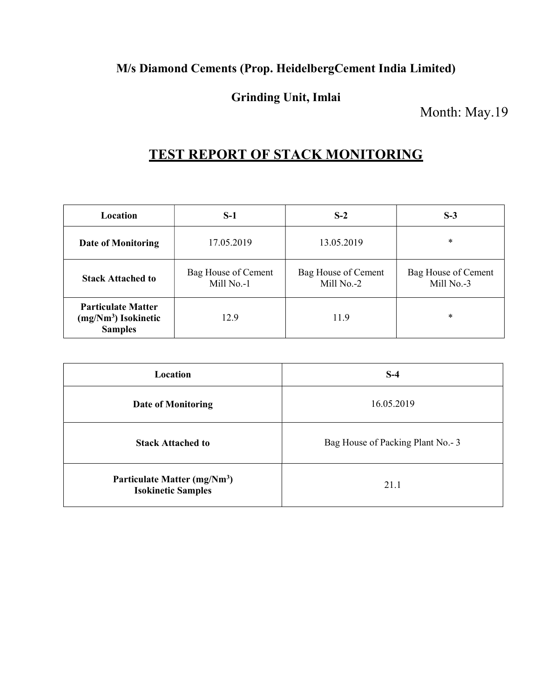### M/s Diamond Cements (Prop. HeidelbergCement India Limited)

### Grinding Unit, Imlai

Month: May.19

# TEST REPORT OF STACK MONITORING

| Location                                                             | $S-1$                             | $S-2$                             | $S-3$                             |
|----------------------------------------------------------------------|-----------------------------------|-----------------------------------|-----------------------------------|
| <b>Date of Monitoring</b>                                            | 17.05.2019                        | 13.05.2019                        | $\ast$                            |
| <b>Stack Attached to</b>                                             | Bag House of Cement<br>Mill No.-1 | Bag House of Cement<br>Mill No.-2 | Bag House of Cement<br>Mill No.-3 |
| <b>Particulate Matter</b><br>$(mg/Nm3)$ Isokinetic<br><b>Samples</b> | 12.9                              | 11.9                              | $\ast$                            |

| Location                                                              | $S-4$                              |
|-----------------------------------------------------------------------|------------------------------------|
| <b>Date of Monitoring</b>                                             | 16.05.2019                         |
| <b>Stack Attached to</b>                                              | Bag House of Packing Plant No. - 3 |
| Particulate Matter (mg/Nm <sup>3</sup> )<br><b>Isokinetic Samples</b> | 21.1                               |